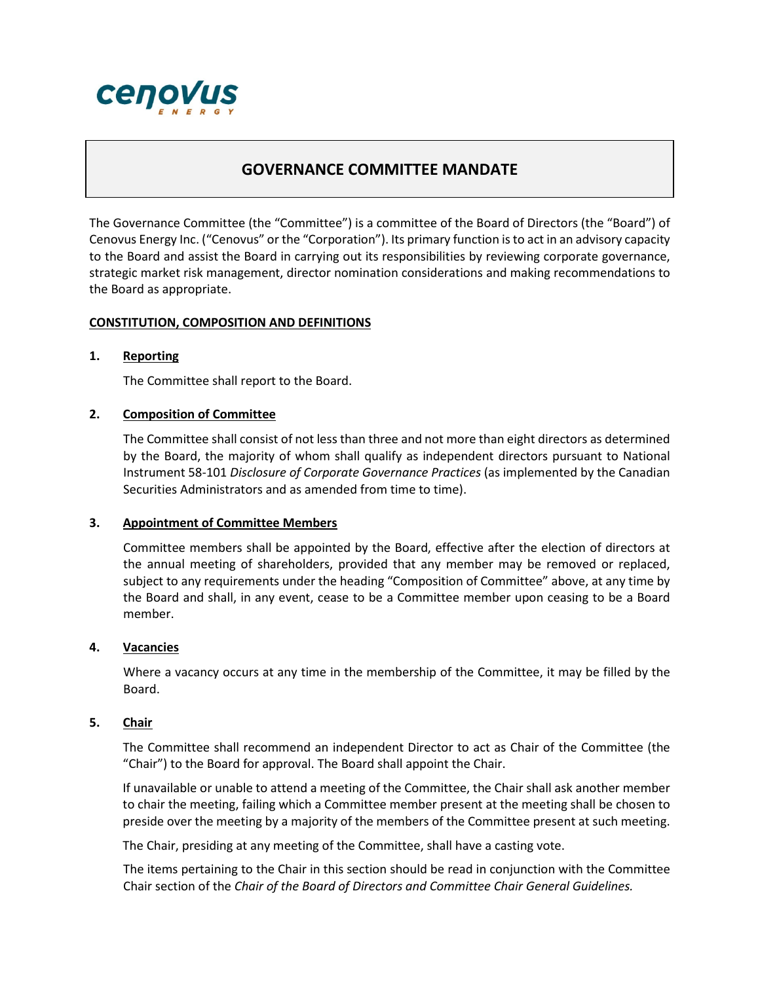

# **GOVERNANCE COMMITTEE MANDATE**

The Governance Committee (the "Committee") is a committee of the Board of Directors (the "Board") of Cenovus Energy Inc. ("Cenovus" or the "Corporation"). Its primary function is to act in an advisory capacity to the Board and assist the Board in carrying out its responsibilities by reviewing corporate governance, strategic market risk management, director nomination considerations and making recommendations to the Board as appropriate.

# **CONSTITUTION, COMPOSITION AND DEFINITIONS**

# **1. Reporting**

The Committee shall report to the Board.

# **2. Composition of Committee**

The Committee shall consist of not less than three and not more than eight directors as determined by the Board, the majority of whom shall qualify as independent directors pursuant to National Instrument 58-101 *Disclosure of Corporate Governance Practices* (as implemented by the Canadian Securities Administrators and as amended from time to time).

#### **3. Appointment of Committee Members**

Committee members shall be appointed by the Board, effective after the election of directors at the annual meeting of shareholders, provided that any member may be removed or replaced, subject to any requirements under the heading "Composition of Committee" above, at any time by the Board and shall, in any event, cease to be a Committee member upon ceasing to be a Board member.

#### **4. Vacancies**

Where a vacancy occurs at any time in the membership of the Committee, it may be filled by the Board.

# **5. Chair**

The Committee shall recommend an independent Director to act as Chair of the Committee (the "Chair") to the Board for approval. The Board shall appoint the Chair.

If unavailable or unable to attend a meeting of the Committee, the Chair shall ask another member to chair the meeting, failing which a Committee member present at the meeting shall be chosen to preside over the meeting by a majority of the members of the Committee present at such meeting.

The Chair, presiding at any meeting of the Committee, shall have a casting vote.

The items pertaining to the Chair in this section should be read in conjunction with the Committee Chair section of the *Chair of the Board of Directors and Committee Chair General Guidelines.*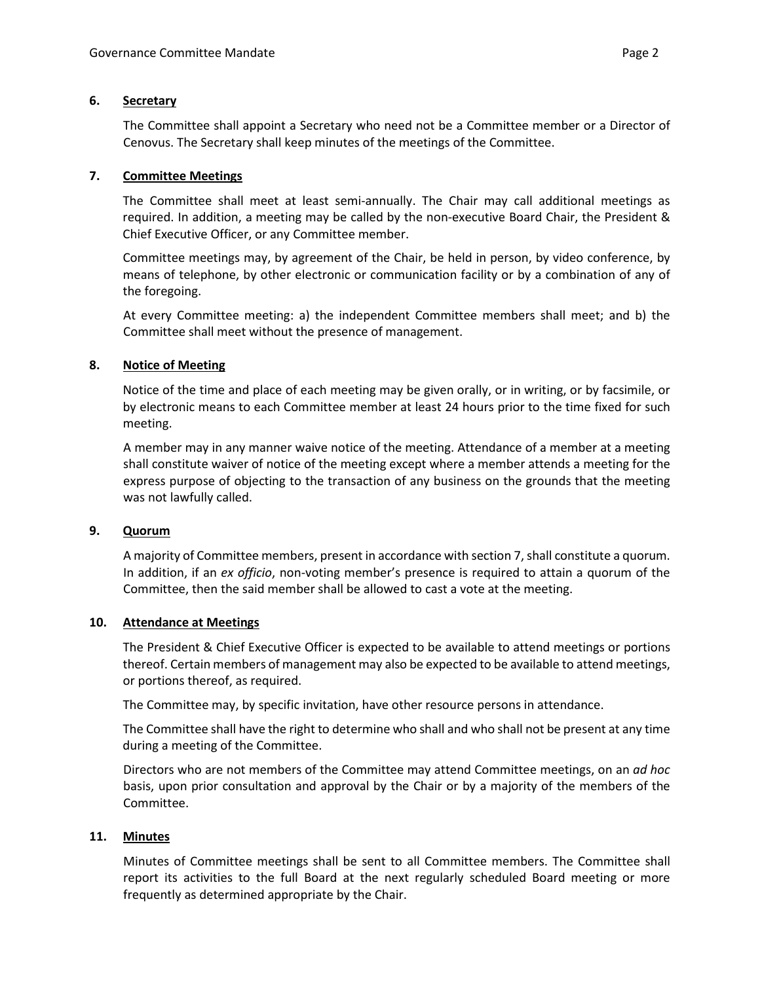# **6. Secretary**

The Committee shall appoint a Secretary who need not be a Committee member or a Director of Cenovus. The Secretary shall keep minutes of the meetings of the Committee.

# **7. Committee Meetings**

The Committee shall meet at least semi-annually. The Chair may call additional meetings as required. In addition, a meeting may be called by the non-executive Board Chair, the President & Chief Executive Officer, or any Committee member.

Committee meetings may, by agreement of the Chair, be held in person, by video conference, by means of telephone, by other electronic or communication facility or by a combination of any of the foregoing.

At every Committee meeting: a) the independent Committee members shall meet; and b) the Committee shall meet without the presence of management.

# **8. Notice of Meeting**

Notice of the time and place of each meeting may be given orally, or in writing, or by facsimile, or by electronic means to each Committee member at least 24 hours prior to the time fixed for such meeting.

A member may in any manner waive notice of the meeting. Attendance of a member at a meeting shall constitute waiver of notice of the meeting except where a member attends a meeting for the express purpose of objecting to the transaction of any business on the grounds that the meeting was not lawfully called.

# **9. Quorum**

A majority of Committee members, present in accordance with section 7,shall constitute a quorum. In addition, if an *ex officio*, non-voting member's presence is required to attain a quorum of the Committee, then the said member shall be allowed to cast a vote at the meeting.

# **10. Attendance at Meetings**

The President & Chief Executive Officer is expected to be available to attend meetings or portions thereof. Certain members of management may also be expected to be available to attend meetings, or portions thereof, as required.

The Committee may, by specific invitation, have other resource persons in attendance.

The Committee shall have the right to determine who shall and who shall not be present at any time during a meeting of the Committee.

Directors who are not members of the Committee may attend Committee meetings, on an *ad hoc* basis, upon prior consultation and approval by the Chair or by a majority of the members of the Committee.

# **11. Minutes**

Minutes of Committee meetings shall be sent to all Committee members. The Committee shall report its activities to the full Board at the next regularly scheduled Board meeting or more frequently as determined appropriate by the Chair.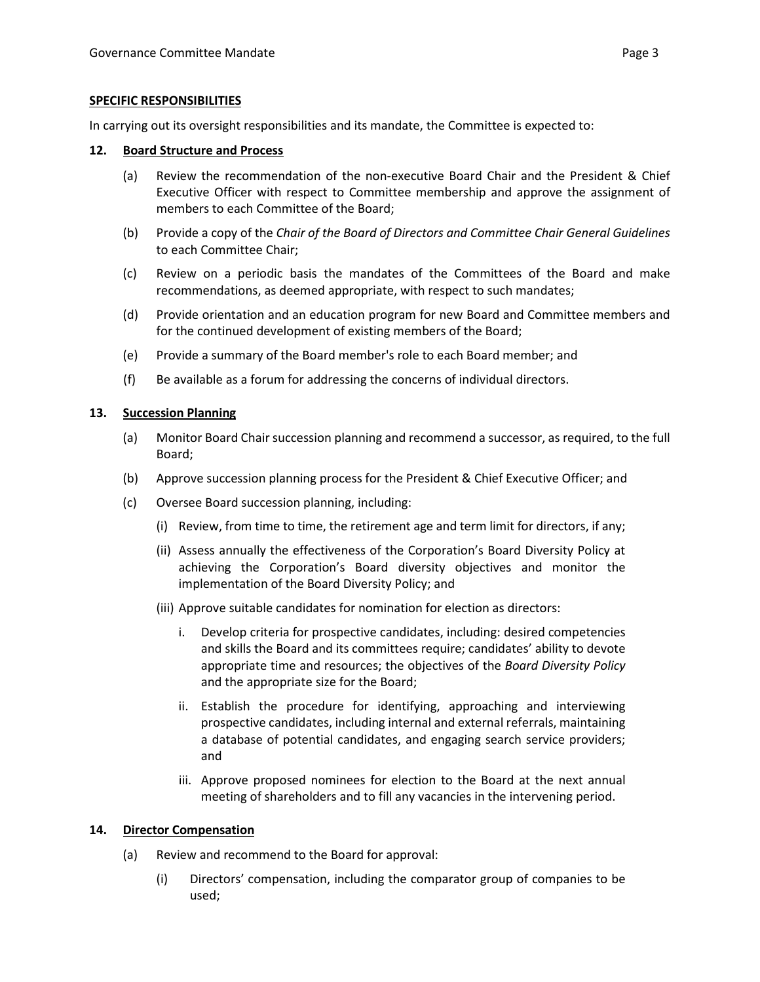#### **SPECIFIC RESPONSIBILITIES**

In carrying out its oversight responsibilities and its mandate, the Committee is expected to:

#### **12. Board Structure and Process**

- (a) Review the recommendation of the non-executive Board Chair and the President & Chief Executive Officer with respect to Committee membership and approve the assignment of members to each Committee of the Board;
- (b) Provide a copy of the *Chair of the Board of Directors and Committee Chair General Guidelines* to each Committee Chair;
- (c) Review on a periodic basis the mandates of the Committees of the Board and make recommendations, as deemed appropriate, with respect to such mandates;
- (d) Provide orientation and an education program for new Board and Committee members and for the continued development of existing members of the Board;
- (e) Provide a summary of the Board member's role to each Board member; and
- (f) Be available as a forum for addressing the concerns of individual directors.

#### **13. Succession Planning**

- (a) Monitor Board Chair succession planning and recommend a successor, as required, to the full Board;
- (b) Approve succession planning process for the President & Chief Executive Officer; and
- (c) Oversee Board succession planning, including:
	- (i) Review, from time to time, the retirement age and term limit for directors, if any;
	- (ii) Assess annually the effectiveness of the Corporation's Board Diversity Policy at achieving the Corporation's Board diversity objectives and monitor the implementation of the Board Diversity Policy; and
	- (iii) Approve suitable candidates for nomination for election as directors:
		- i. Develop criteria for prospective candidates, including: desired competencies and skills the Board and its committees require; candidates' ability to devote appropriate time and resources; the objectives of the *Board Diversity Policy* and the appropriate size for the Board;
		- ii. Establish the procedure for identifying, approaching and interviewing prospective candidates, including internal and external referrals, maintaining a database of potential candidates, and engaging search service providers; and
		- iii. Approve proposed nominees for election to the Board at the next annual meeting of shareholders and to fill any vacancies in the intervening period.

#### **14. Director Compensation**

- (a) Review and recommend to the Board for approval:
	- (i) Directors' compensation, including the comparator group of companies to be used;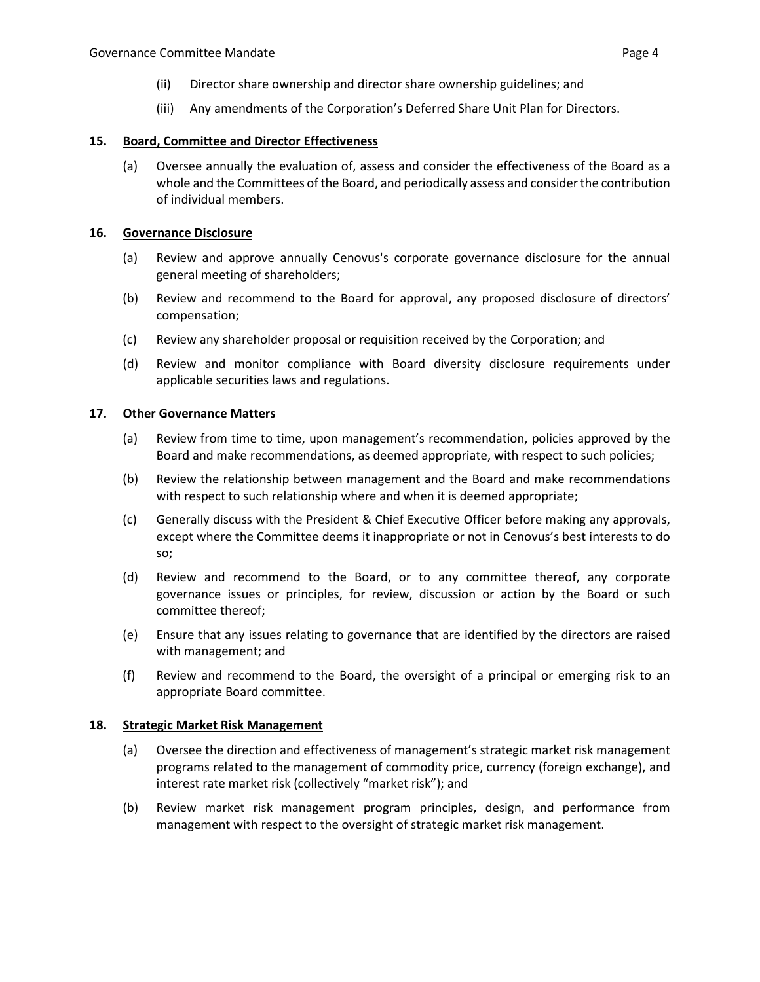- (ii) Director share ownership and director share ownership guidelines; and
- (iii) Any amendments of the Corporation's Deferred Share Unit Plan for Directors.

# **15. Board, Committee and Director Effectiveness**

(a) Oversee annually the evaluation of, assess and consider the effectiveness of the Board as a whole and the Committees of the Board, and periodically assess and consider the contribution of individual members.

# **16. Governance Disclosure**

- (a) Review and approve annually Cenovus's corporate governance disclosure for the annual general meeting of shareholders;
- (b) Review and recommend to the Board for approval, any proposed disclosure of directors' compensation;
- (c) Review any shareholder proposal or requisition received by the Corporation; and
- (d) Review and monitor compliance with Board diversity disclosure requirements under applicable securities laws and regulations.

# **17. Other Governance Matters**

- (a) Review from time to time, upon management's recommendation, policies approved by the Board and make recommendations, as deemed appropriate, with respect to such policies;
- (b) Review the relationship between management and the Board and make recommendations with respect to such relationship where and when it is deemed appropriate;
- (c) Generally discuss with the President & Chief Executive Officer before making any approvals, except where the Committee deems it inappropriate or not in Cenovus's best interests to do so;
- (d) Review and recommend to the Board, or to any committee thereof, any corporate governance issues or principles, for review, discussion or action by the Board or such committee thereof;
- (e) Ensure that any issues relating to governance that are identified by the directors are raised with management; and
- (f) Review and recommend to the Board, the oversight of a principal or emerging risk to an appropriate Board committee.

#### **18. Strategic Market Risk Management**

- (a) Oversee the direction and effectiveness of management's strategic market risk management programs related to the management of commodity price, currency (foreign exchange), and interest rate market risk (collectively "market risk"); and
- (b) Review market risk management program principles, design, and performance from management with respect to the oversight of strategic market risk management.